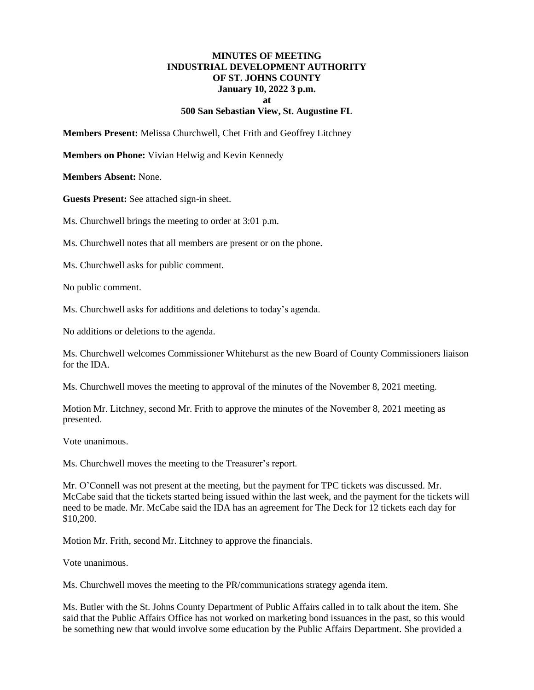## **MINUTES OF MEETING INDUSTRIAL DEVELOPMENT AUTHORITY OF ST. JOHNS COUNTY January 10, 2022 3 p.m. at 500 San Sebastian View, St. Augustine FL**

**Members Present:** Melissa Churchwell, Chet Frith and Geoffrey Litchney

**Members on Phone:** Vivian Helwig and Kevin Kennedy

**Members Absent:** None.

**Guests Present:** See attached sign-in sheet.

Ms. Churchwell brings the meeting to order at 3:01 p.m.

Ms. Churchwell notes that all members are present or on the phone.

Ms. Churchwell asks for public comment.

No public comment.

Ms. Churchwell asks for additions and deletions to today's agenda.

No additions or deletions to the agenda.

Ms. Churchwell welcomes Commissioner Whitehurst as the new Board of County Commissioners liaison for the IDA.

Ms. Churchwell moves the meeting to approval of the minutes of the November 8, 2021 meeting.

Motion Mr. Litchney, second Mr. Frith to approve the minutes of the November 8, 2021 meeting as presented.

Vote unanimous.

Ms. Churchwell moves the meeting to the Treasurer's report.

Mr. O'Connell was not present at the meeting, but the payment for TPC tickets was discussed. Mr. McCabe said that the tickets started being issued within the last week, and the payment for the tickets will need to be made. Mr. McCabe said the IDA has an agreement for The Deck for 12 tickets each day for \$10,200.

Motion Mr. Frith, second Mr. Litchney to approve the financials.

Vote unanimous.

Ms. Churchwell moves the meeting to the PR/communications strategy agenda item.

Ms. Butler with the St. Johns County Department of Public Affairs called in to talk about the item. She said that the Public Affairs Office has not worked on marketing bond issuances in the past, so this would be something new that would involve some education by the Public Affairs Department. She provided a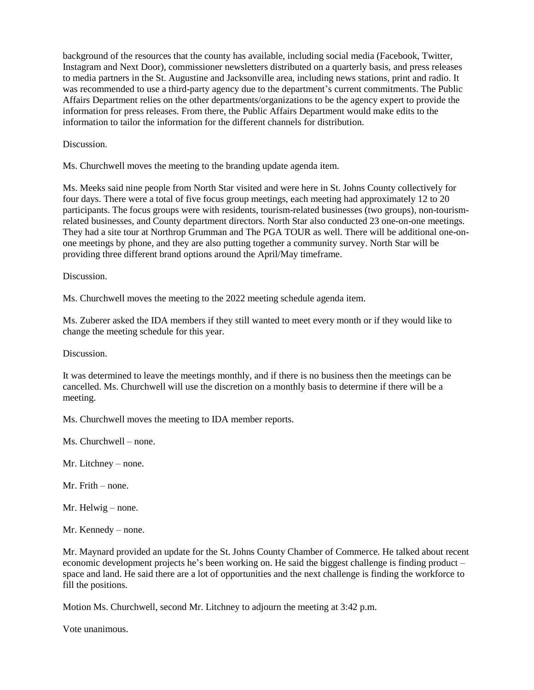background of the resources that the county has available, including social media (Facebook, Twitter, Instagram and Next Door), commissioner newsletters distributed on a quarterly basis, and press releases to media partners in the St. Augustine and Jacksonville area, including news stations, print and radio. It was recommended to use a third-party agency due to the department's current commitments. The Public Affairs Department relies on the other departments/organizations to be the agency expert to provide the information for press releases. From there, the Public Affairs Department would make edits to the information to tailor the information for the different channels for distribution.

**Discussion** 

Ms. Churchwell moves the meeting to the branding update agenda item.

Ms. Meeks said nine people from North Star visited and were here in St. Johns County collectively for four days. There were a total of five focus group meetings, each meeting had approximately 12 to 20 participants. The focus groups were with residents, tourism-related businesses (two groups), non-tourismrelated businesses, and County department directors. North Star also conducted 23 one-on-one meetings. They had a site tour at Northrop Grumman and The PGA TOUR as well. There will be additional one-onone meetings by phone, and they are also putting together a community survey. North Star will be providing three different brand options around the April/May timeframe.

Discussion.

Ms. Churchwell moves the meeting to the 2022 meeting schedule agenda item.

Ms. Zuberer asked the IDA members if they still wanted to meet every month or if they would like to change the meeting schedule for this year.

Discussion.

It was determined to leave the meetings monthly, and if there is no business then the meetings can be cancelled. Ms. Churchwell will use the discretion on a monthly basis to determine if there will be a meeting.

Ms. Churchwell moves the meeting to IDA member reports.

Ms. Churchwell – none.

Mr. Litchney – none.

Mr. Frith – none.

Mr. Helwig – none.

Mr. Kennedy – none.

Mr. Maynard provided an update for the St. Johns County Chamber of Commerce. He talked about recent economic development projects he's been working on. He said the biggest challenge is finding product – space and land. He said there are a lot of opportunities and the next challenge is finding the workforce to fill the positions.

Motion Ms. Churchwell, second Mr. Litchney to adjourn the meeting at 3:42 p.m.

Vote unanimous.